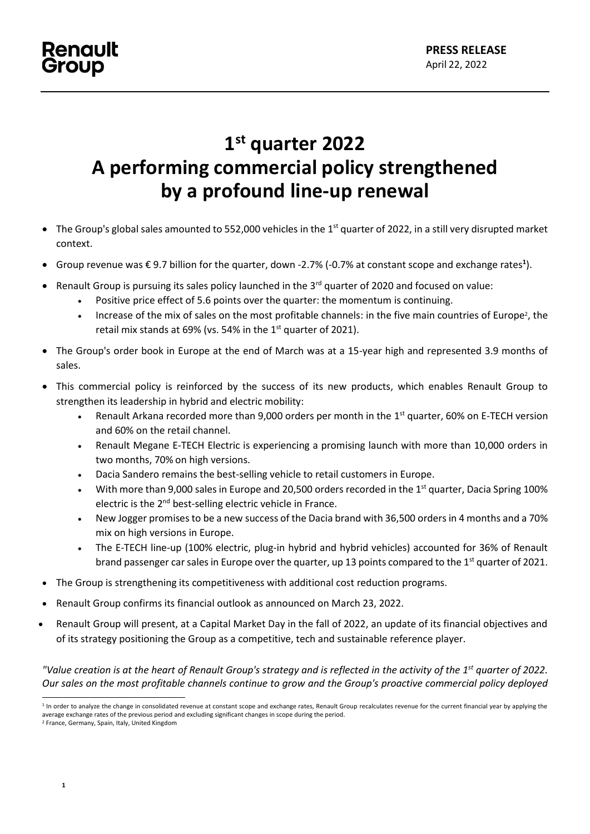# **1 st quarter 2022 A performing commercial policy strengthened by a profound line-up renewal**

- $\bullet$  The Group's global sales amounted to 552,000 vehicles in the 1<sup>st</sup> quarter of 2022, in a still very disrupted market context.
- Group revenue was € 9.7 billion for the quarter, down -2.7% (-0.7% at constant scope and exchange rates**<sup>1</sup>** ).
- Renault Group is pursuing its sales policy launched in the 3<sup>rd</sup> quarter of 2020 and focused on value:
	- Positive price effect of 5.6 points over the quarter: the momentum is continuing.
	- Increase of the mix of sales on the most profitable channels: in the five main countries of Europe<sup>2</sup>, the retail mix stands at 69% (vs. 54% in the  $1<sup>st</sup>$  quarter of 2021).
- The Group's order book in Europe at the end of March was at a 15-year high and represented 3.9 months of sales.
- This commercial policy is reinforced by the success of its new products, which enables Renault Group to strengthen its leadership in hybrid and electric mobility:
	- Renault Arkana recorded more than 9,000 orders per month in the  $1<sup>st</sup>$  quarter, 60% on E-TECH version and 60% on the retail channel.
	- Renault Megane E-TECH Electric is experiencing a promising launch with more than 10,000 orders in two months, 70% on high versions.
	- Dacia Sandero remains the best-selling vehicle to retail customers in Europe.
	- With more than 9,000 sales in Europe and 20,500 orders recorded in the 1<sup>st</sup> quarter, Dacia Spring 100% electric is the 2nd best-selling electric vehicle in France.
	- New Jogger promises to be a new success of the Dacia brand with 36,500 orders in 4 months and a 70% mix on high versions in Europe.
	- The E-TECH line-up (100% electric, plug-in hybrid and hybrid vehicles) accounted for 36% of Renault brand passenger car sales in Europe over the quarter, up 13 points compared to the 1<sup>st</sup> quarter of 2021.
- The Group is strengthening its competitiveness with additional cost reduction programs.
- Renault Group confirms its financial outlook as announced on March 23, 2022.
- Renault Group will present, at a Capital Market Day in the fall of 2022, an update of its financial objectives and of its strategy positioning the Group as a competitive, tech and sustainable reference player.

*"Value creation is at the heart of Renault Group's strategy and is reflected in the activity of the 1st quarter of 2022. Our sales on the most profitable channels continue to grow and the Group's proactive commercial policy deployed* 

<sup>&</sup>lt;sup>1</sup> In order to analyze the change in consolidated revenue at constant scope and exchange rates, Renault Group recalculates revenue for the current financial year by applying the average exchange rates of the previous period and excluding significant changes in scope during the period.

<sup>2</sup> France, Germany, Spain, Italy, United Kingdom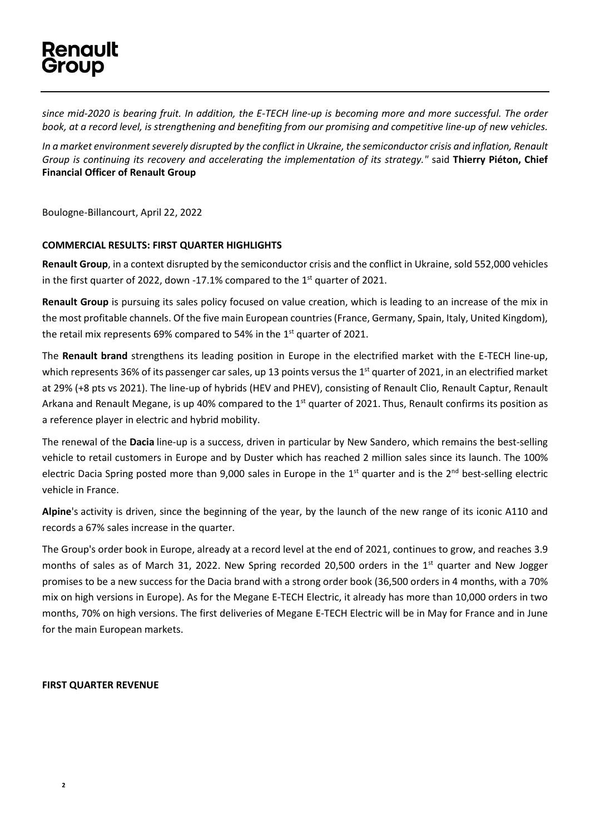# **Renault** Group

*since mid-2020 is bearing fruit. In addition, the E-TECH line-up is becoming more and more successful. The order book, at a record level, is strengthening and benefiting from our promising and competitive line-up of new vehicles.*

*In a market environment severely disrupted by the conflict in Ukraine, the semiconductor crisis and inflation, Renault Group is continuing its recovery and accelerating the implementation of its strategy."* said **Thierry Piéton, Chief Financial Officer of Renault Group**

Boulogne-Billancourt, April 22, 2022

### **COMMERCIAL RESULTS: FIRST QUARTER HIGHLIGHTS**

**Renault Group**, in a context disrupted by the semiconductor crisis and the conflict in Ukraine, sold 552,000 vehicles in the first quarter of 2022, down -17.1% compared to the  $1<sup>st</sup>$  quarter of 2021.

**Renault Group** is pursuing its sales policy focused on value creation, which is leading to an increase of the mix in the most profitable channels. Of the five main European countries (France, Germany, Spain, Italy, United Kingdom), the retail mix represents 69% compared to 54% in the  $1<sup>st</sup>$  quarter of 2021.

The **Renault brand** strengthens its leading position in Europe in the electrified market with the E-TECH line-up, which represents 36% of its passenger car sales, up 13 points versus the  $1<sup>st</sup>$  quarter of 2021, in an electrified market at 29% (+8 pts vs 2021). The line-up of hybrids (HEV and PHEV), consisting of Renault Clio, Renault Captur, Renault Arkana and Renault Megane, is up 40% compared to the 1<sup>st</sup> quarter of 2021. Thus, Renault confirms its position as a reference player in electric and hybrid mobility.

The renewal of the **Dacia** line-up is a success, driven in particular by New Sandero, which remains the best-selling vehicle to retail customers in Europe and by Duster which has reached 2 million sales since its launch. The 100% electric Dacia Spring posted more than 9,000 sales in Europe in the 1<sup>st</sup> quarter and is the 2<sup>nd</sup> best-selling electric vehicle in France.

**Alpine**'s activity is driven, since the beginning of the year, by the launch of the new range of its iconic A110 and records a 67% sales increase in the quarter.

The Group's order book in Europe, already at a record level at the end of 2021, continues to grow, and reaches 3.9 months of sales as of March 31, 2022. New Spring recorded 20,500 orders in the  $1<sup>st</sup>$  quarter and New Jogger promises to be a new success for the Dacia brand with a strong order book (36,500 orders in 4 months, with a 70% mix on high versions in Europe). As for the Megane E-TECH Electric, it already has more than 10,000 orders in two months, 70% on high versions. The first deliveries of Megane E-TECH Electric will be in May for France and in June for the main European markets.

### **FIRST QUARTER REVENUE**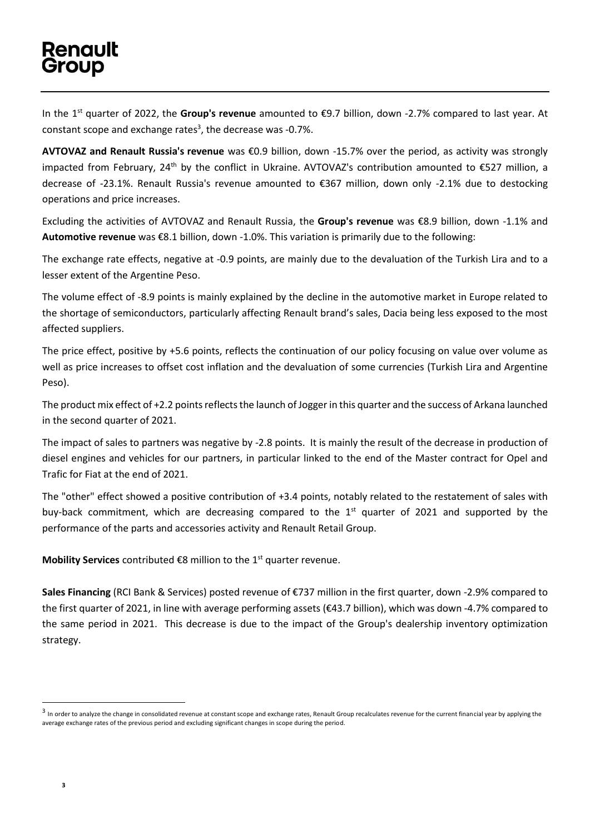In the 1 st quarter of 2022, the **Group's revenue** amounted to €9.7 billion, down -2.7% compared to last year. At constant scope and exchange rates<sup>3</sup>, the decrease was -0.7%.

**AVTOVAZ and Renault Russia's revenue** was €0.9 billion, down -15.7% over the period, as activity was strongly impacted from February, 24th by the conflict in Ukraine. AVTOVAZ's contribution amounted to €527 million, a decrease of -23.1%. Renault Russia's revenue amounted to €367 million, down only -2.1% due to destocking operations and price increases.

Excluding the activities of AVTOVAZ and Renault Russia, the **Group's revenue** was €8.9 billion, down -1.1% and **Automotive revenue** was €8.1 billion, down -1.0%. This variation is primarily due to the following:

The exchange rate effects, negative at -0.9 points, are mainly due to the devaluation of the Turkish Lira and to a lesser extent of the Argentine Peso.

The volume effect of -8.9 points is mainly explained by the decline in the automotive market in Europe related to the shortage of semiconductors, particularly affecting Renault brand's sales, Dacia being less exposed to the most affected suppliers.

The price effect, positive by +5.6 points, reflects the continuation of our policy focusing on value over volume as well as price increases to offset cost inflation and the devaluation of some currencies (Turkish Lira and Argentine Peso).

The product mix effect of +2.2 points reflects the launch of Jogger in this quarter and the success of Arkana launched in the second quarter of 2021.

The impact of sales to partners was negative by -2.8 points. It is mainly the result of the decrease in production of diesel engines and vehicles for our partners, in particular linked to the end of the Master contract for Opel and Trafic for Fiat at the end of 2021.

The "other" effect showed a positive contribution of +3.4 points, notably related to the restatement of sales with buy-back commitment, which are decreasing compared to the 1<sup>st</sup> quarter of 2021 and supported by the performance of the parts and accessories activity and Renault Retail Group.

**Mobility Services** contributed €8 million to the 1<sup>st</sup> quarter revenue.

**Sales Financing** (RCI Bank & Services) posted revenue of €737 million in the first quarter, down -2.9% compared to the first quarter of 2021, in line with average performing assets (€43.7 billion), which was down -4.7% compared to the same period in 2021. This decrease is due to the impact of the Group's dealership inventory optimization strategy.

 $^3$  In order to analyze the change in consolidated revenue at constant scope and exchange rates, Renault Group recalculates revenue for the current financial year by applying the average exchange rates of the previous period and excluding significant changes in scope during the period.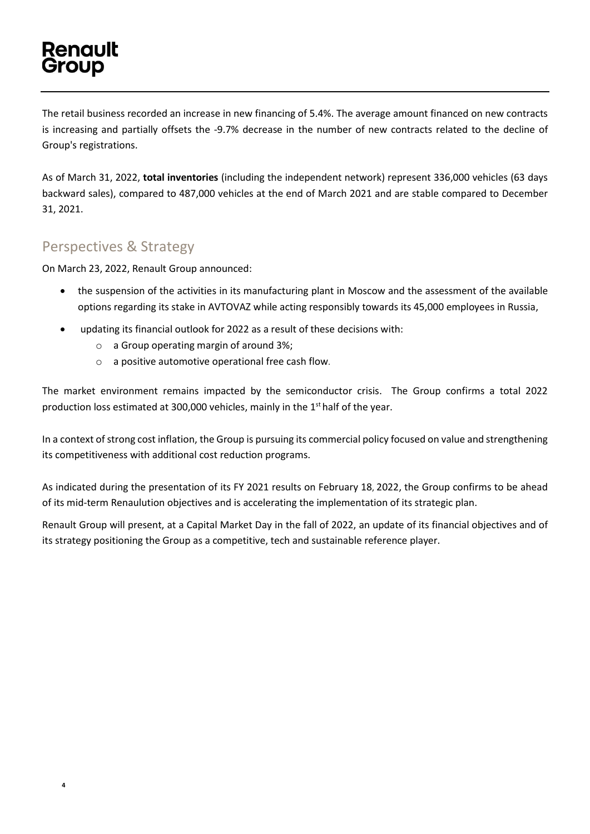# Renault Group

**4**

The retail business recorded an increase in new financing of 5.4%. The average amount financed on new contracts is increasing and partially offsets the -9.7% decrease in the number of new contracts related to the decline of Group's registrations.

As of March 31, 2022, **total inventories** (including the independent network) represent 336,000 vehicles (63 days backward sales), compared to 487,000 vehicles at the end of March 2021 and are stable compared to December 31, 2021.

### Perspectives & Strategy

On March 23, 2022, Renault Group announced:

- the suspension of the activities in its manufacturing plant in Moscow and the assessment of the available options regarding its stake in AVTOVAZ while acting responsibly towards its 45,000 employees in Russia,
- updating its financial outlook for 2022 as a result of these decisions with:
	- o a Group operating margin of around 3%;
	- o a positive automotive operational free cash flow.

The market environment remains impacted by the semiconductor crisis. The Group confirms a total 2022 production loss estimated at 300,000 vehicles, mainly in the 1<sup>st</sup> half of the year.

In a context of strong cost inflation, the Group is pursuing its commercial policy focused on value and strengthening its competitiveness with additional cost reduction programs.

As indicated during the presentation of its FY 2021 results on February 18, 2022, the Group confirms to be ahead of its mid-term Renaulution objectives and is accelerating the implementation of its strategic plan.

Renault Group will present, at a Capital Market Day in the fall of 2022, an update of its financial objectives and of its strategy positioning the Group as a competitive, tech and sustainable reference player.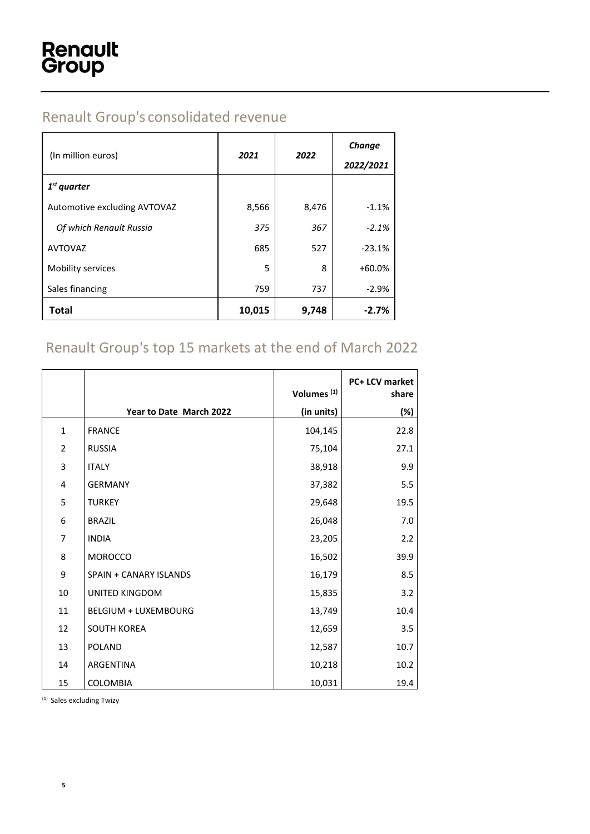## Renault Group's consolidated revenue

| (In million euros)           | 2021   | 2022  | Change<br>2022/2021 |
|------------------------------|--------|-------|---------------------|
| $1st$ quarter                |        |       |                     |
| Automotive excluding AVTOVAZ | 8,566  | 8,476 | $-1.1%$             |
| Of which Renault Russia      | 375    | 367   | $-2.1%$             |
| <b>AVTOVAZ</b>               | 685    | 527   | $-23.1%$            |
| Mobility services            | 5      | 8     | $+60.0%$            |
| Sales financing              | 759    | 737   | $-2.9%$             |
| <b>Total</b>                 | 10,015 | 9,748 | $-2.7%$             |

## Renault Group's top 15 markets at the end of March 2022

|                |                               | Volumes <sup>(1)</sup> | PC+ LCV market<br>share |
|----------------|-------------------------------|------------------------|-------------------------|
|                | Year to Date March 2022       | (in units)             | (%)                     |
| $\mathbf{1}$   | <b>FRANCE</b>                 | 104,145                | 22.8                    |
| $\overline{2}$ | <b>RUSSIA</b>                 | 75,104                 | 27.1                    |
| 3              | <b>ITALY</b>                  | 38,918                 | 9.9                     |
| 4              | <b>GERMANY</b>                | 37,382                 | 5.5                     |
| 5              | <b>TURKEY</b>                 | 29,648                 | 19.5                    |
| 6              | <b>BRAZIL</b>                 | 26,048                 | 7.0                     |
| 7              | <b>INDIA</b>                  | 23,205                 | 2.2                     |
| 8              | <b>MOROCCO</b>                | 16,502                 | 39.9                    |
| 9              | <b>SPAIN + CANARY ISLANDS</b> | 16,179                 | 8.5                     |
| 10             | <b>UNITED KINGDOM</b>         | 15,835                 | 3.2                     |
| 11             | <b>BELGIUM + LUXEMBOURG</b>   | 13,749                 | 10.4                    |
| 12             | <b>SOUTH KOREA</b>            | 12,659                 | 3.5                     |
| 13             | <b>POLAND</b>                 | 12,587                 | 10.7                    |
| 14             | <b>ARGENTINA</b>              | 10,218                 | 10.2                    |
| 15             | COLOMBIA                      | 10,031                 | 19.4                    |

(1) Sales excluding Twizy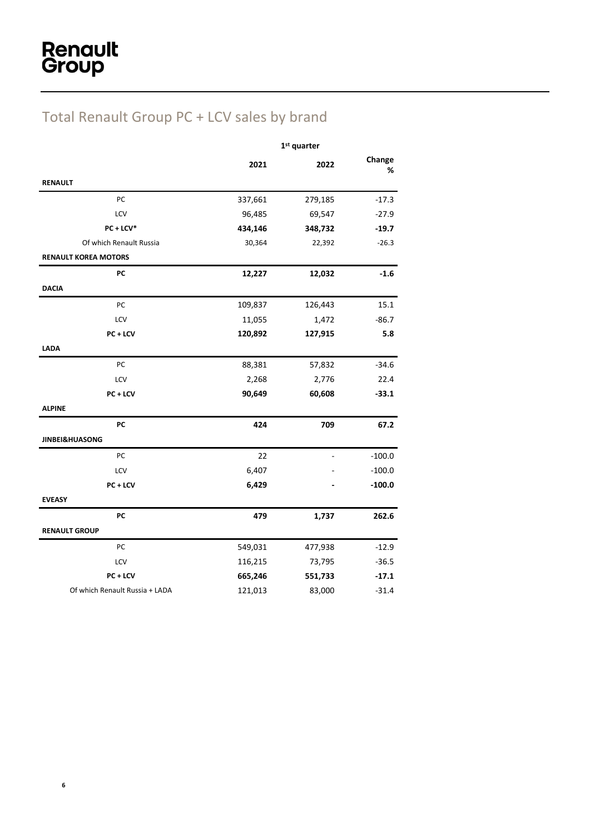## Total Renault Group PC + LCV sales by brand

|                                | $1st$ quarter |         |             |
|--------------------------------|---------------|---------|-------------|
|                                | 2021          | 2022    | Change<br>% |
| <b>RENAULT</b>                 |               |         |             |
| PC                             | 337,661       | 279,185 | $-17.3$     |
| LCV                            | 96,485        | 69,547  | $-27.9$     |
| $PC + LCV*$                    | 434,146       | 348,732 | $-19.7$     |
| Of which Renault Russia        | 30,364        | 22,392  | $-26.3$     |
| <b>RENAULT KOREA MOTORS</b>    |               |         |             |
| PC                             | 12,227        | 12,032  | $-1.6$      |
| <b>DACIA</b>                   |               |         |             |
| PC                             | 109,837       | 126,443 | 15.1        |
| LCV                            | 11,055        | 1,472   | $-86.7$     |
| PC + LCV                       | 120,892       | 127,915 | 5.8         |
| <b>LADA</b>                    |               |         |             |
| PC                             | 88,381        | 57,832  | $-34.6$     |
| LCV                            | 2,268         | 2,776   | 22.4        |
| PC + LCV                       | 90,649        | 60,608  | $-33.1$     |
| <b>ALPINE</b>                  |               |         |             |
| PC                             | 424           | 709     | 67.2        |
| <b>JINBEI&amp;HUASONG</b>      |               |         |             |
| PC                             | 22            |         | $-100.0$    |
| LCV                            | 6,407         |         | $-100.0$    |
| PC + LCV                       | 6,429         |         | $-100.0$    |
| <b>EVEASY</b>                  |               |         |             |
| PC                             | 479           | 1,737   | 262.6       |
| <b>RENAULT GROUP</b>           |               |         |             |
| PC                             | 549,031       | 477,938 | $-12.9$     |
| LCV                            | 116,215       | 73,795  | $-36.5$     |
| PC + LCV                       | 665,246       | 551,733 | $-17.1$     |
| Of which Renault Russia + LADA | 121,013       | 83,000  | $-31.4$     |